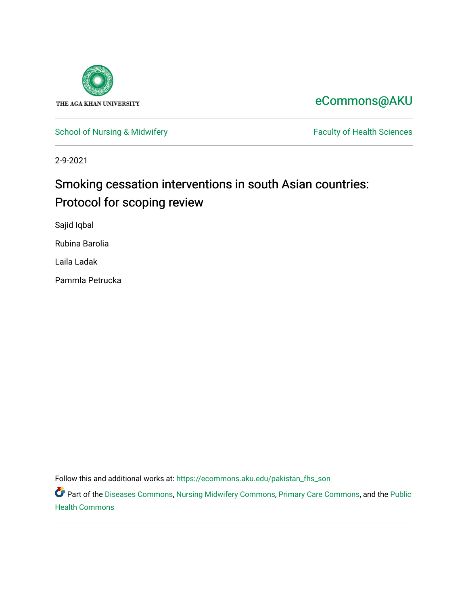

[eCommons@AKU](https://ecommons.aku.edu/) 

[School of Nursing & Midwifery](https://ecommons.aku.edu/pakistan_fhs_son) Faculty of Health Sciences

2-9-2021

## Smoking cessation interventions in south Asian countries: Protocol for scoping review

Sajid Iqbal

Rubina Barolia

Laila Ladak

Pammla Petrucka

Follow this and additional works at: [https://ecommons.aku.edu/pakistan\\_fhs\\_son](https://ecommons.aku.edu/pakistan_fhs_son?utm_source=ecommons.aku.edu%2Fpakistan_fhs_son%2F414&utm_medium=PDF&utm_campaign=PDFCoverPages) 

Part of the [Diseases Commons](http://network.bepress.com/hgg/discipline/813?utm_source=ecommons.aku.edu%2Fpakistan_fhs_son%2F414&utm_medium=PDF&utm_campaign=PDFCoverPages), [Nursing Midwifery Commons](http://network.bepress.com/hgg/discipline/722?utm_source=ecommons.aku.edu%2Fpakistan_fhs_son%2F414&utm_medium=PDF&utm_campaign=PDFCoverPages), [Primary Care Commons,](http://network.bepress.com/hgg/discipline/1092?utm_source=ecommons.aku.edu%2Fpakistan_fhs_son%2F414&utm_medium=PDF&utm_campaign=PDFCoverPages) and the [Public](http://network.bepress.com/hgg/discipline/738?utm_source=ecommons.aku.edu%2Fpakistan_fhs_son%2F414&utm_medium=PDF&utm_campaign=PDFCoverPages) [Health Commons](http://network.bepress.com/hgg/discipline/738?utm_source=ecommons.aku.edu%2Fpakistan_fhs_son%2F414&utm_medium=PDF&utm_campaign=PDFCoverPages)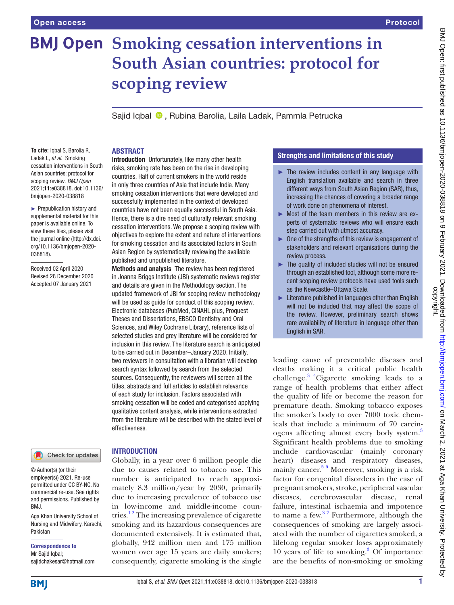# **BMJ Open Smoking cessation interventions in South Asian countries: protocol for scoping review**

Sajid Iqbal <sup>®</sup>, Rubina Barolia, Laila Ladak, Pammla Petrucka

#### **To cite:** Iqbal S, Barolia R, Ladak L, *et al*. Smoking cessation interventions in South Asian countries: protocol for scoping review. *BMJ Open* 2021;11:e038818. doi:10.1136/ bmjopen-2020-038818

► Prepublication history and supplemental material for this paper is available online. To view these files, please visit the journal online (http://dx.doi. org/10.1136/bmjopen-2020- 038818).

Received 02 April 2020 Revised 28 December 2020 Accepted 07 January 2021



## **INTRODUCTION**

ABSTRACT

© Author(s) (or their employer(s)) 2021. Re-use permitted under CC BY-NC. No commercial re-use. See rights and permissions. Published by BMJ.

Aga Khan University School of Nursing and Midwifery, Karachi, Pakistan

Correspondence to Mr Sajid Iqbal; sajidchakesar@hotmail.com smoking cessation interventions that were developed and successfully implemented in the context of developed countries have not been equally successful in South Asia. Hence, there is a dire need of culturally relevant smoking cessation interventions. We propose a scoping review with objectives to explore the extent and nature of interventions for smoking cessation and its associated factors in South Asian Region by systematically reviewing the available published and unpublished literature. Methods and analysis The review has been registered

Introduction Unfortunately, like many other health risks, smoking rate has been on the rise in developing countries. Half of current smokers in the world reside in only three countries of Asia that include India. Many

in Joanna Briggs Institute (JBI) systematic reviews register and details are given in the Methodology section. The updated framework of JBI for scoping review methodology will be used as guide for conduct of this scoping review. Electronic databases (PubMed, CINAHL plus, Proquest Theses and Dissertations, EBSCO Dentistry and Oral Sciences, and Wiley Cochrane Library), reference lists of selected studies and grey literature will be considered for inclusion in this review. The literature search is anticipated to be carried out in December–January 2020. Initially, two reviewers in consultation with a librarian will develop search syntax followed by search from the selected sources. Consequently, the reviewers will screen all the titles, abstracts and full articles to establish relevance of each study for inclusion. Factors associated with smoking cessation will be coded and categorised applying qualitative content analysis, while interventions extracted from the literature will be described with the stated level of effectiveness.

Globally, in a year over 6 million people die due to causes related to tobacco use. This number is anticipated to reach approximately 8.3 million/year by 2030, primarily due to increasing prevalence of tobacco use in low-income and middle-income countries.<sup>12</sup> The increasing prevalence of cigarette smoking and its hazardous consequences are documented extensively. It is estimated that, globally, 942 million men and 175 million women over age 15 years are daily smokers; consequently, cigarette smoking is the single

## Strengths and limitations of this study

- $\blacktriangleright$  The review includes content in any language with English translation available and search in three different ways from South Asian Region (SAR), thus, increasing the chances of covering a broader range of work done on phenomena of interest.
- $\triangleright$  Most of the team members in this review are experts of systematic reviews who will ensure each step carried out with utmost accuracy.
- ► One of the strengths of this review is engagement of stakeholders and relevant organisations during the review process.
- ► The quality of included studies will not be ensured through an established tool, although some more recent scoping review protocols have used tools such as the Newcastle–Ottawa Scale.
- $\blacktriangleright$  Literature published in languages other than English will not be included that may affect the scope of the review. However, preliminary search shows rare availability of literature in language other than English in SAR.

leading cause of preventable diseases and deaths making it a critical public health challenge[.3 4C](#page-5-1)igarette smoking leads to a range of health problems that either affect the quality of life or become the reason for premature death. Smoking tobacco exposes the smoker's body to over 7000 toxic chemicals that include a minimum of 70 carcinogens affecting almost every body system.<sup>3</sup> Significant health problems due to smoking include cardiovascular (mainly coronary heart) diseases and respiratory diseases, mainly cancer.<sup>5 6</sup> Moreover, smoking is a risk factor for congenital disorders in the case of pregnant smokers, stroke, peripheral vascular diseases, cerebrovascular disease, renal failure, intestinal ischaemia and impotence to name a few.[3 7](#page-5-1) Furthermore, although the consequences of smoking are largely associated with the number of cigarettes smoked, a lifelong regular smoker loses approximately 10 years of life to smoking[.3](#page-5-1) Of importance are the benefits of non-smoking or smoking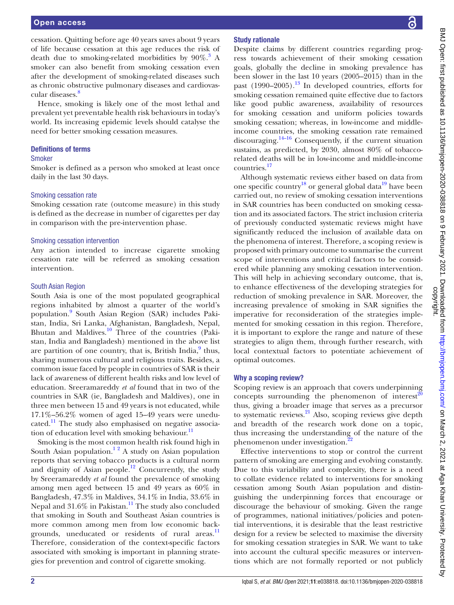cessation. Quitting before age 40 years saves about 9 years of life because cessation at this age reduces the risk of death due to smoking-related morbidities by  $90\%$ .<sup>3</sup> A smoker can also benefit from smoking cessation even after the development of smoking-related diseases such as chronic obstructive pulmonary diseases and cardiovas-cular diseases.<sup>[8](#page-6-1)</sup>

Hence, smoking is likely one of the most lethal and prevalent yet preventable health risk behaviours in today's world. Its increasing epidemic levels should catalyse the need for better smoking cessation measures.

## Definitions of terms

## Smoker

Smoker is defined as a person who smoked at least once daily in the last 30 days.

#### Smoking cessation rate

Smoking cessation rate (outcome measure) in this study is defined as the decrease in number of cigarettes per day in comparison with the pre-intervention phase.

#### Smoking cessation intervention

Any action intended to increase cigarette smoking cessation rate will be referred as smoking cessation intervention.

#### South Asian Region

South Asia is one of the most populated geographical regions inhabited by almost a quarter of the world's population.<sup>9</sup> South Asian Region (SAR) includes Pakistan, India, Sri Lanka, Afghanistan, Bangladesh, Nepal, Bhutan and Maldives. $10$  Three of the countries (Pakistan, India and Bangladesh) mentioned in the above list are partition of one country, that is, British India,<sup>9</sup> thus, sharing numerous cultural and religious traits. Besides, a common issue faced by people in countries of SAR is their lack of awareness of different health risks and low level of education. Sreeramareddy *et al* found that in two of the countries in SAR (ie, Bangladesh and Maldives), one in three men between 15 and 49 years is not educated, while 17.1%–56.2% women of aged 15–49 years were unedu-cated.<sup>[11](#page-6-4)</sup> The study also emphasised on negative association of education level with smoking behaviour. $^{11}$  $^{11}$  $^{11}$ 

Smoking is the most common health risk found high in South Asian population.<sup>12</sup> A study on Asian population reports that serving tobacco products is a cultural norm and dignity of Asian people.<sup>12</sup> Concurrently, the study by Sreeramareddy *et al* found the prevalence of smoking among men aged between 15 and 49 years as 60% in Bangladesh, 47.3% in Maldives, 34.1% in India, 33.6% in Nepal and 31.6% in Pakistan.<sup>[11](#page-6-4)</sup> The study also concluded that smoking in South and Southeast Asian countries is more common among men from low economic back-grounds, uneducated or residents of rural areas.<sup>[11](#page-6-4)</sup> Therefore, consideration of the context-specific factors associated with smoking is important in planning strategies for prevention and control of cigarette smoking.

## Study rationale

Despite claims by different countries regarding progress towards achievement of their smoking cessation goals, globally the decline in smoking prevalence has been slower in the last 10 years (2005–2015) than in the past  $(1990-2005)$ .<sup>13</sup> In developed countries, efforts for smoking cessation remained quite effective due to factors like good public awareness, availability of resources for smoking cessation and uniform policies towards smoking cessation; whereas, in low-income and middleincome countries, the smoking cessation rate remained discouraging. $14-16$  Consequently, if the current situation sustains, as predicted, by 2030, almost 80% of tobaccorelated deaths will be in low-income and middle-income countries.[17](#page-6-8)

Although systematic reviews either based on data from one specific country<sup>18</sup> or general global data<sup>19</sup> have been carried out, no review of smoking cessation interventions in SAR countries has been conducted on smoking cessation and its associated factors. The strict inclusion criteria of previously conducted systematic reviews might have significantly reduced the inclusion of available data on the phenomena of interest. Therefore, a scoping review is proposed with primary outcome to summarise the current scope of interventions and critical factors to be considered while planning any smoking cessation intervention. This will help in achieving secondary outcome, that is, to enhance effectiveness of the developing strategies for reduction of smoking prevalence in SAR. Moreover, the increasing prevalence of smoking in SAR signifies the imperative for reconsideration of the strategies implemented for smoking cessation in this region. Therefore, it is important to explore the range and nature of these strategies to align them, through further research, with local contextual factors to potentiate achievement of optimal outcomes.

## Why a scoping review?

Scoping review is an approach that covers underpinning concepts surrounding the phenomenon of interest<sup>[20](#page-6-11)</sup> thus, giving a broader image that serves as a precursor to systematic reviews.[21](#page-6-12) Also, scoping reviews give depth and breadth of the research work done on a topic, thus increasing the understanding of the nature of the phenomenon under investigation.<sup>2</sup>

Effective interventions to stop or control the current pattern of smoking are emerging and evolving constantly. Due to this variability and complexity, there is a need to collate evidence related to interventions for smoking cessation among South Asian population and distinguishing the underpinning forces that encourage or discourage the behaviour of smoking. Given the range of programmes, national initiatives/policies and potential interventions, it is desirable that the least restrictive design for a review be selected to maximise the diversity for smoking cessation strategies in SAR. We want to take into account the cultural specific measures or interventions which are not formally reported or not publicly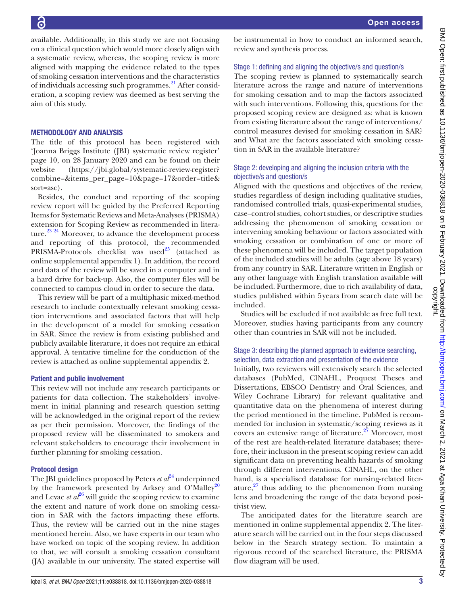available. Additionally, in this study we are not focusing on a clinical question which would more closely align with a systematic review, whereas, the scoping review is more aligned with mapping the evidence related to the types of smoking cessation interventions and the characteristics of individuals accessing such programmes.<sup>21</sup> After consideration, a scoping review was deemed as best serving the aim of this study.

## METHODOLOGY AND ANALYSIS

The title of this protocol has been registered with 'Joanna Briggs Institute (JBI) systematic review register' page 10, on 28 January 2020 and can be found on their website ([https://jbi.global/systematic-review-register?](https://jbi.global/systematic-review-register?combine=&items_per_page=10&page=17&order=title&sort=asc) [combine=&items\\_per\\_page=10&page=17&order=title&](https://jbi.global/systematic-review-register?combine=&items_per_page=10&page=17&order=title&sort=asc) [sort=asc](https://jbi.global/systematic-review-register?combine=&items_per_page=10&page=17&order=title&sort=asc)).

Besides, the conduct and reporting of the scoping review report will be guided by the Preferred Reporting Items for Systematic Reviews and Meta-Analyses (PRISMA) extension for Scoping Review as recommended in literature.[23 24](#page-6-14) Moreover, to advance the development process and reporting of this protocol, the recommended PRISMA-Protocols checklist was used<sup>25</sup> (attached as [online supplemental appendix 1\)](https://dx.doi.org/10.1136/bmjopen-2020-038818). In addition, the record and data of the review will be saved in a computer and in a hard drive for back-up. Also, the computer files will be connected to campus cloud in order to secure the data.

This review will be part of a multiphasic mixed-method research to include contextually relevant smoking cessation interventions and associated factors that will help in the development of a model for smoking cessation in SAR. Since the review is from existing published and publicly available literature, it does not require an ethical approval. A tentative timeline for the conduction of the review is attached as [online supplemental appendix 2](https://dx.doi.org/10.1136/bmjopen-2020-038818).

## Patient and public involvement

This review will not include any research participants or patients for data collection. The stakeholders' involvement in initial planning and research question setting will be acknowledged in the original report of the review as per their permission. Moreover, the findings of the proposed review will be disseminated to smokers and relevant stakeholders to encourage their involvement in further planning for smoking cessation.

#### Protocol design

The JBI guidelines proposed by Peters  $et\ a^{\beta 4}$  underpinned by the framework presented by Arksey and O'Malley<sup>20</sup> and Levac *et al*<sup>[26](#page-6-17)</sup> will guide the scoping review to examine the extent and nature of work done on smoking cessation in SAR with the factors impacting these efforts. Thus, the review will be carried out in the nine stages mentioned herein. Also, we have experts in our team who have worked on topic of the scoping review. In addition to that, we will consult a smoking cessation consultant (JA) available in our university. The stated expertise will be instrumental in how to conduct an informed search, review and synthesis process.

#### Stage 1: defining and aligning the objective/s and question/s

The scoping review is planned to systematically search literature across the range and nature of interventions for smoking cessation and to map the factors associated with such interventions. Following this, questions for the proposed scoping review are designed as: what is known from existing literature about the range of interventions/ control measures devised for smoking cessation in SAR? and What are the factors associated with smoking cessation in SAR in the available literature?

## Stage 2: developing and aligning the inclusion criteria with the objective/s and question/s

Aligned with the questions and objectives of the review, studies regardless of design including qualitative studies, randomised controlled trials, quasi-experimental studies, case–control studies, cohort studies, or descriptive studies addressing the phenomenon of smoking cessation or intervening smoking behaviour or factors associated with smoking cessation or combination of one or more of these phenomena will be included. The target population of the included studies will be adults (age above 18 years) from any country in SAR. Literature written in English or any other language with English translation available will be included. Furthermore, due to rich availability of data, studies published within 5years from search date will be included.

Studies will be excluded if not available as free full text. Moreover, studies having participants from any country other than countries in SAR will not be included.

## Stage 3: describing the planned approach to evidence searching, selection, data extraction and presentation of the evidence

Initially, two reviewers will extensively search the selected databases (PubMed, CINAHL, Proquest Theses and Dissertations, EBSCO Dentistry and Oral Sciences, and Wiley Cochrane Library) for relevant qualitative and quantitative data on the phenomena of interest during the period mentioned in the timeline. PubMed is recommended for inclusion in systematic/scoping reviews as it covers an extensive range of literature.<sup>27</sup> Moreover, most of the rest are health-related literature databases; therefore, their inclusion in the present scoping review can add significant data on preventing health hazards of smoking through different interventions. CINAHL, on the other hand, is a specialised database for nursing-related literature, $^{27}$  thus adding to the phenomenon from nursing lens and broadening the range of the data beyond positivist view.

The anticipated dates for the literature search are mentioned in [online supplemental appendix 2.](https://dx.doi.org/10.1136/bmjopen-2020-038818) The literature search will be carried out in the four steps discussed below in the Search strategy section. To maintain a rigorous record of the searched literature, the PRISMA flow diagram will be used.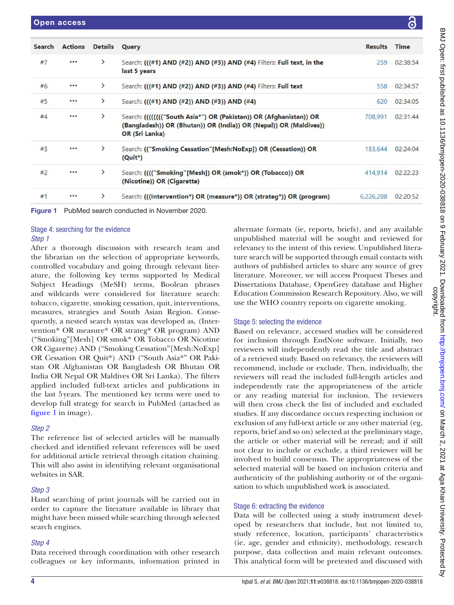| <b>Search</b> | <b>Actions</b> | <b>Details</b> | Query                                                                                                                                                    | <b>Results</b> | <b>Time</b> |
|---------------|----------------|----------------|----------------------------------------------------------------------------------------------------------------------------------------------------------|----------------|-------------|
| #7            | 0.0.0          | $\rightarrow$  | Search: (((#1) AND (#2)) AND (#3)) AND (#4) Filters: Full text, in the<br>last 5 years                                                                   | 259            | 02:38:54    |
| #6            |                | ≻              | Search: (((#1) AND (#2)) AND (#3)) AND (#4) Filters: Full text                                                                                           | 558            | 02:34:57    |
| #5            |                | $\rightarrow$  | Search: (((#1) AND (#2)) AND (#3)) AND (#4)                                                                                                              | 620            | 02:34:05    |
| #4            |                | $\rightarrow$  | Search: ((((((("South Asia*") OR (Pakistan)) OR (Afghanistan)) OR<br>(Bangladesh)) OR (Bhutan)) OR (India)) OR (Nepal)) OR (Maldives))<br>OR (Sri Lanka) | 708.991        | 02:31:44    |
| #3            |                | ⋋              | Search: (("Smoking Cessation"[Mesh:NoExp]) OR (Cessation)) OR<br>$(Quit^*)$                                                                              | 183,644        | 02:24:04    |
| #2            |                | $\rightarrow$  | Search: (((("Smoking"[Mesh]) OR (smok*)) OR (Tobacco)) OR<br>(Nicotine)) OR (Cigarette)                                                                  | 414,914        | 02:22:23    |
| #1            |                | ⋋              | Search: (((Intervention*) OR (measure*)) OR (strateg*)) OR (program)                                                                                     | 6,226,288      | 02:20:52    |

<span id="page-4-0"></span>Figure 1 PubMed search conducted in November 2020.

#### Stage 4: searching for the evidence *Step 1*

After a thorough discussion with research team and

the librarian on the selection of appropriate keywords, controlled vocabulary and going through relevant literature, the following key terms supported by Medical Subject Headings (MeSH) terms, Boolean phrases and wildcards were considered for literature search: tobacco, cigarette, smoking cessation, quit, interventions, measures, strategies and South Asian Region. Consequently, a nested search syntax was developed as, (Intervention\* OR measure\* OR strateg\* OR program) AND ("Smoking"[Mesh] OR smok\* OR Tobacco OR Nicotine OR Cigarette) AND ("Smoking Cessation"[Mesh:NoExp] OR Cessation OR Quit\*) AND ("South Asia\*" OR Pakistan OR Afghanistan OR Bangladesh OR Bhutan OR India OR Nepal OR Maldives OR Sri Lanka). The filters applied included full-text articles and publications in the last 5years. The mentioned key terms were used to develop full strategy for search in PubMed (attached as [figure](#page-4-0) 1 in image).

## *Step 2*

The reference list of selected articles will be manually checked and identified relevant references will be used for additional article retrieval through citation chaining. This will also assist in identifying relevant organisational websites in SAR.

## *Step 3*

Hand searching of print journals will be carried out in order to capture the literature available in library that might have been missed while searching through selected search engines.

## *Step 4*

Data received through coordination with other research colleagues or key informants, information printed in

alternate formats (ie, reports, briefs), and any available unpublished material will be sought and reviewed for relevancy to the intent of this review. Unpublished literature search will be supported through email contacts with authors of published articles to share any source of grey literature. Moreover, we will access Proquest Theses and Dissertations Database, OpenGrey database and Higher Education Commission Research Repository. Also, we will use the WHO country reports on cigarette smoking.

## Stage 5: selecting the evidence

Based on relevance, accessed studies will be considered for inclusion through EndNote software. Initially, two reviewers will independently read the title and abstract of a retrieved study. Based on relevancy, the reviewers will recommend, include or exclude. Then, individually, the reviewers will read the included full-length articles and independently rate the appropriateness of the article or any reading material for inclusion. The reviewers will then cross check the list of included and excluded studies. If any discordance occurs respecting inclusion or exclusion of any full-text article or any other material (eg, reports, brief and so on) selected at the preliminary stage, the article or other material will be reread; and if still not clear to include or exclude, a third reviewer will be involved to build consensus. The appropriateness of the selected material will be based on inclusion criteria and authenticity of the publishing authority or of the organisation to which unpublished work is associated.

## Stage 6: extracting the evidence

Data will be collected using a study instrument developed by researchers that include, but not limited to, study reference, location, participants' characteristics (ie, age, gender and ethnicity), methodology, research purpose, data collection and main relevant outcomes. This analytical form will be pretested and discussed with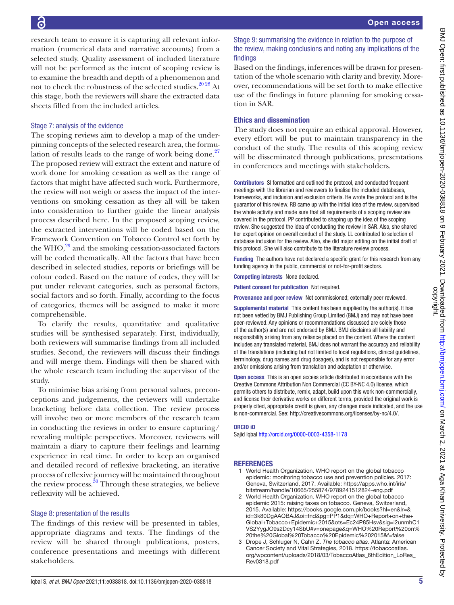research team to ensure it is capturing all relevant information (numerical data and narrative accounts) from a selected study. Quality assessment of included literature will not be performed as the intent of scoping review is to examine the breadth and depth of a phenomenon and not to check the robustness of the selected studies.<sup>2028</sup> At this stage, both the reviewers will share the extracted data sheets filled from the included articles.

## Stage 7: analysis of the evidence

The scoping reviews aim to develop a map of the underpinning concepts of the selected research area, the formulation of results leads to the range of work being done. $27$ The proposed review will extract the extent and nature of work done for smoking cessation as well as the range of factors that might have affected such work. Furthermore, the review will not weigh or assess the impact of the interventions on smoking cessation as they all will be taken into consideration to further guide the linear analysis process described here. In the proposed scoping review, the extracted interventions will be coded based on the Framework Convention on Tobacco Control set forth by the WHO, $^{29}$  and the smoking cessation-associated factors will be coded thematically. All the factors that have been described in selected studies, reports or briefings will be colour coded. Based on the nature of codes, they will be put under relevant categories, such as personal factors, social factors and so forth. Finally, according to the focus of categories, themes will be assigned to make it more comprehensible.

To clarify the results, quantitative and qualitative studies will be synthesised separately. First, individually, both reviewers will summarise findings from all included studies. Second, the reviewers will discuss their findings and will merge them. Findings will then be shared with the whole research team including the supervisor of the study.

To minimise bias arising from personal values, preconceptions and judgements, the reviewers will undertake bracketing before data collection. The review process will involve two or more members of the research team in conducting the reviews in order to ensure capturing/ revealing multiple perspectives. Moreover, reviewers will maintain a diary to capture their feelings and learning experience in real time. In order to keep an organised and detailed record of reflexive bracketing, an iterative process of reflexive journey will be maintained throughout the review process.<sup>30</sup> Through these strategies, we believe reflexivity will be achieved.

## Stage 8: presentation of the results

The findings of this review will be presented in tables, appropriate diagrams and texts. The findings of the review will be shared through publications, posters, conference presentations and meetings with different stakeholders.

## Stage 9: summarising the evidence in relation to the purpose of the review, making conclusions and noting any implications of the findings

Based on the findings, inferences will be drawn for presentation of the whole scenario with clarity and brevity. Moreover, recommendations will be set forth to make effective use of the findings in future planning for smoking cessation in SAR.

## Ethics and dissemination

The study does not require an ethical approval. However, every effort will be put to maintain transparency in the conduct of the study. The results of this scoping review will be disseminated through publications, presentations in conferences and meetings with stakeholders.

Contributors SI formatted and outlined the protocol, and conducted frequent meetings with the librarian and reviewers to finalise the included databases, frameworks, and inclusion and exclusion criteria. He wrote the protocol and is the guarantor of this review. RB came up with the initial idea of the review, supervised the whole activity and made sure that all requirements of a scoping review are covered in the protocol. PP contributed to shaping up the idea of the scoping review. She suggested the idea of conducting the review in SAR. Also, she shared her expert opinion on overall conduct of the study. LL contributed to selection of database inclusion for the review. Also, she did major editing on the initial draft of this protocol. She will also contribute to the literature review process.

Funding The authors have not declared a specific grant for this research from any funding agency in the public, commercial or not-for-profit sectors.

Competing interests None declared.

Patient consent for publication Not required.

Provenance and peer review Not commissioned; externally peer reviewed.

Supplemental material This content has been supplied by the author(s). It has not been vetted by BMJ Publishing Group Limited (BMJ) and may not have been peer-reviewed. Any opinions or recommendations discussed are solely those of the author(s) and are not endorsed by BMJ. BMJ disclaims all liability and responsibility arising from any reliance placed on the content. Where the content includes any translated material, BMJ does not warrant the accuracy and reliability of the translations (including but not limited to local regulations, clinical guidelines, terminology, drug names and drug dosages), and is not responsible for any error and/or omissions arising from translation and adaptation or otherwise.

Open access This is an open access article distributed in accordance with the Creative Commons Attribution Non Commercial (CC BY-NC 4.0) license, which permits others to distribute, remix, adapt, build upon this work non-commercially, and license their derivative works on different terms, provided the original work is properly cited, appropriate credit is given, any changes made indicated, and the use is non-commercial. See: [http://creativecommons.org/licenses/by-nc/4.0/.](http://creativecommons.org/licenses/by-nc/4.0/)

#### ORCID iD

Sajid Iqbal<http://orcid.org/0000-0003-4358-1178>

## **REFERENCES**

- <span id="page-5-0"></span>1 World Health Organization. WHO report on the global tobacco epidemic: monitoring tobacco use and prevention policies. 2017: Geneva, Switzerland, 2017. Available: [https://apps.who.int/iris/](https://apps.who.int/iris/bitstream/handle/10665/255874/9789241512824-eng.pdf) [bitstream/handle/10665/255874/9789241512824-eng.pdf](https://apps.who.int/iris/bitstream/handle/10665/255874/9789241512824-eng.pdf)
- World Health Organization. WHO report on the global tobacco epidemic 2015: raising taxes on tobacco. Geneva, Switzerland, 2015. Available: [https://books.google.com.pk/books?hl=en&lr=&](https://books.google.com.pk/books?hl=en&lr=&id=3k80DgAAQBAJ&oi=fnd&pg=PP1&dq=WHO+Report+on+the+Global+Tobacco+Epidemic+2015&ots=Ec24P85Hsv&sig=i2unmhC1VS2YygJO9s2Dcy14SbU#v=onepage&q=WHO%20Report%20on%20the%20Global%20Tobacco%20Epidemic%202015&f=false) [id=3k80DgAAQBAJ&oi=fnd&pg=PP1&dq=WHO+Report+on+the+](https://books.google.com.pk/books?hl=en&lr=&id=3k80DgAAQBAJ&oi=fnd&pg=PP1&dq=WHO+Report+on+the+Global+Tobacco+Epidemic+2015&ots=Ec24P85Hsv&sig=i2unmhC1VS2YygJO9s2Dcy14SbU#v=onepage&q=WHO%20Report%20on%20the%20Global%20Tobacco%20Epidemic%202015&f=false) [Global+Tobacco+Epidemic+2015&ots=Ec24P85Hsv&sig=i2unmhC1](https://books.google.com.pk/books?hl=en&lr=&id=3k80DgAAQBAJ&oi=fnd&pg=PP1&dq=WHO+Report+on+the+Global+Tobacco+Epidemic+2015&ots=Ec24P85Hsv&sig=i2unmhC1VS2YygJO9s2Dcy14SbU#v=onepage&q=WHO%20Report%20on%20the%20Global%20Tobacco%20Epidemic%202015&f=false) [VS2YygJO9s2Dcy14SbU#v=onepage&q=WHO%20Report%20on%](https://books.google.com.pk/books?hl=en&lr=&id=3k80DgAAQBAJ&oi=fnd&pg=PP1&dq=WHO+Report+on+the+Global+Tobacco+Epidemic+2015&ots=Ec24P85Hsv&sig=i2unmhC1VS2YygJO9s2Dcy14SbU#v=onepage&q=WHO%20Report%20on%20the%20Global%20Tobacco%20Epidemic%202015&f=false) [20the%20Global%20Tobacco%20Epidemic%202015&f=false](https://books.google.com.pk/books?hl=en&lr=&id=3k80DgAAQBAJ&oi=fnd&pg=PP1&dq=WHO+Report+on+the+Global+Tobacco+Epidemic+2015&ots=Ec24P85Hsv&sig=i2unmhC1VS2YygJO9s2Dcy14SbU#v=onepage&q=WHO%20Report%20on%20the%20Global%20Tobacco%20Epidemic%202015&f=false)
- <span id="page-5-1"></span>3 Drope J, Schluger N, Cahn Z. *The tobacco atlas*. Atlanta: American Cancer Society and Vital Strategies, 2018. [https://tobaccoatlas.](https://tobaccoatlas.org/wpcontent/uploads/2018/03/TobaccoAtlas_6thEdition_LoRes_Rev0318.pdf) [org/wpcontent/uploads/2018/03/TobaccoAtlas\\_6thEdition\\_LoRes\\_](https://tobaccoatlas.org/wpcontent/uploads/2018/03/TobaccoAtlas_6thEdition_LoRes_Rev0318.pdf) [Rev0318.pdf](https://tobaccoatlas.org/wpcontent/uploads/2018/03/TobaccoAtlas_6thEdition_LoRes_Rev0318.pdf)